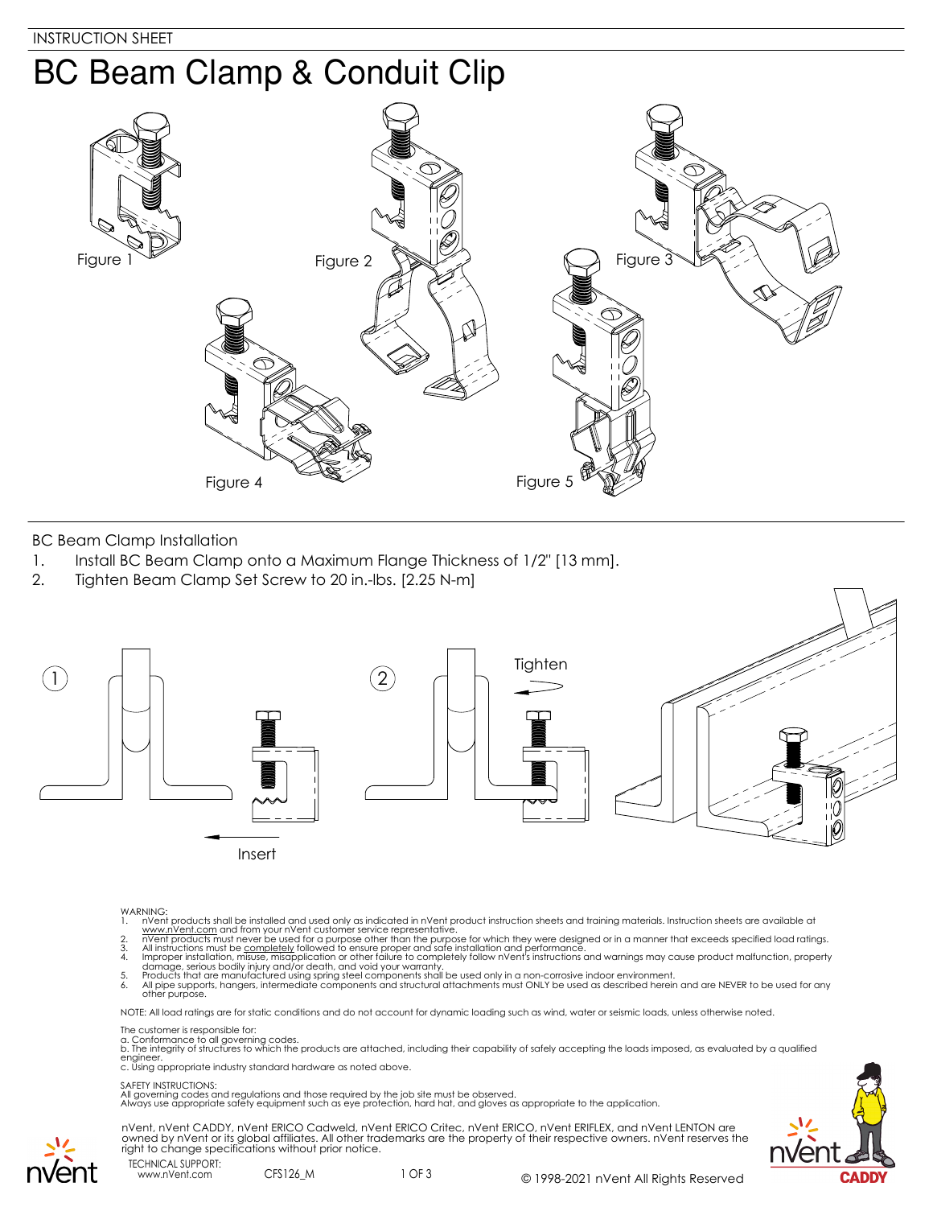# **BC Beam Clamp & Conduit Clip**



BC Beam Clamp Installation

- 1. Install BC Beam Clamp onto a Maximum Flange Thickness of 1/2" [13 mm].
- 2. Tighten Beam Clamp Set Screw to 20 in.-lbs. [2.25 N-m]



- 
- 
- 
- WARNING:<br>
1. NYent products shall be installed and used only as indicated in nVent product instruction sheets and training materials. Instruction sheets are available at<br>
1. www.nVent.com and from your nVent customer servi

NOTE: All load ratings are for static conditions and do not account for dynamic loading such as wind, water or seismic loads, unless otherwise noted.

The customer is responsible for:

a. Conformance to all governing codes.<br>b. The integrity of structures to which the products are attached, including their capability of safely accepting the loads imposed, as evaluated by a qualified engineer. c. Using appropriate industry standard hardware as noted above.

#### SAFETY INSTRUCTIONS:

All governing codes and regulations and those required by the job site must be observed. Always use appropriate safety equipment such as eye protection, hard hat, and gloves as appropriate to the application.



nVent, nVent CADDY, nVent ERICO Cadweld, nVent ERICO Critec, nVent ERICO, nVent ERIFLEX, and nVent LENTON are owned by nVent or its global affiliates. All other trademarks are the property of their respective owners. nVent reserves the right to change specifications without prior notice.

TECHNICAL SUPPORT: www.nVent.com CFS126\_M

nvent

1 OF 3 © 1998-2021 nVent All Rights Reserved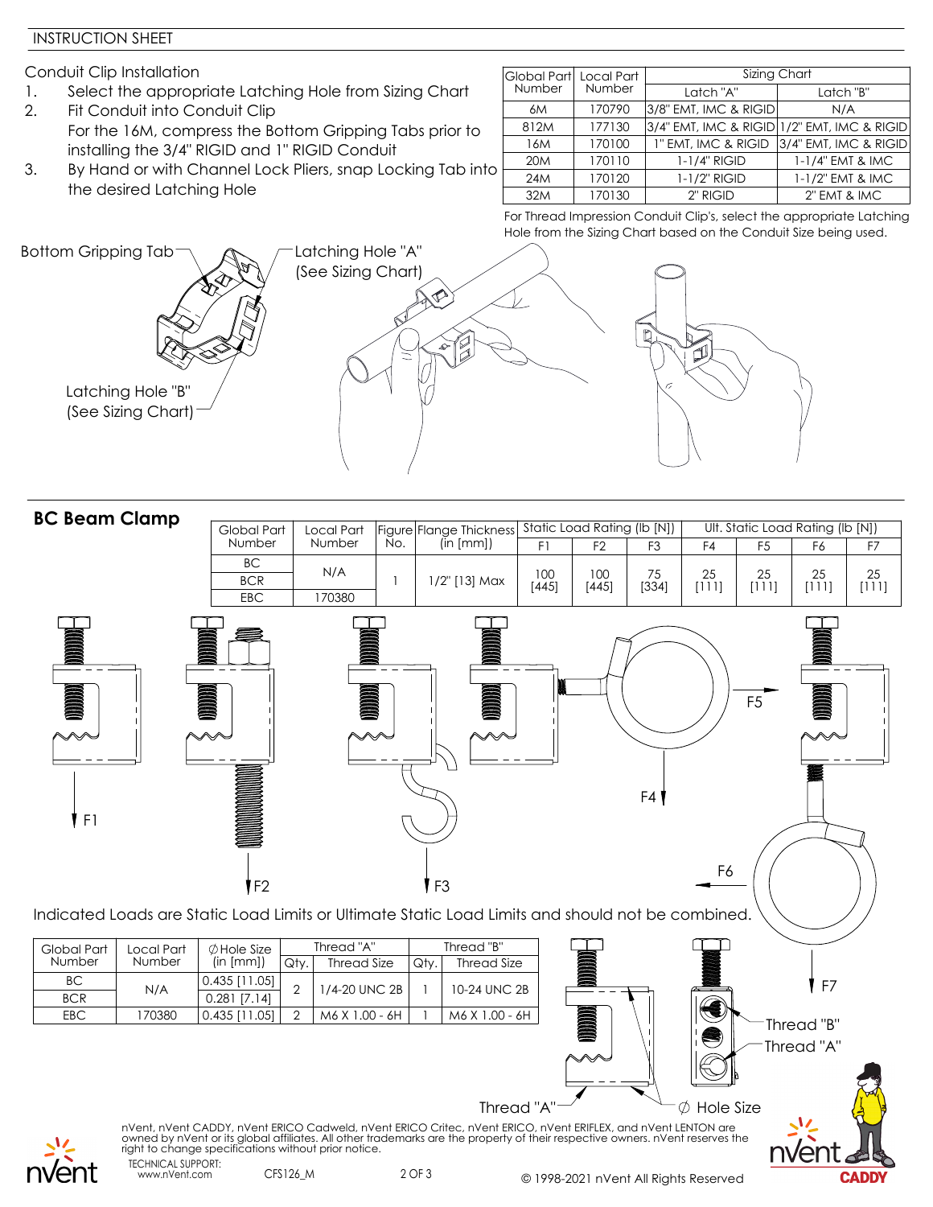### INSTRUCTION SHEET

Conduit Clip Installation

- 1. Select the appropriate Latching Hole from Sizing Chart
- 2. Fit Conduit into Conduit Clip For the 16M, compress the Bottom Gripping Tabs prior to installing the 3/4" RIGID and 1" RIGID Conduit
- 3. By Hand or with Channel Lock Pliers, snap Locking Tab into the desired Latching Hole

|  | Global Part Local Part |        | Sizing Chart                                        |                                           |  |  |  |  |  |
|--|------------------------|--------|-----------------------------------------------------|-------------------------------------------|--|--|--|--|--|
|  | Number                 | Number | Latch "A"                                           | Latch "B"                                 |  |  |  |  |  |
|  | 6M                     | 170790 | 3/8" EMT, IMC & RIGID                               | N/A                                       |  |  |  |  |  |
|  | 812M                   | 177130 | $ 3/4$ " EMT, IMC & RIGID $ 1/2$ " EMT, IMC & RIGID |                                           |  |  |  |  |  |
|  | 16M                    | 170100 |                                                     | 1" EMT, IMC & RIGID 3/4" EMT, IMC & RIGID |  |  |  |  |  |
|  | 20 <sub>M</sub>        | 170110 | $1-1/4"$ RIGID                                      | 1-1/4" EMT & IMC                          |  |  |  |  |  |
|  | 24M                    | 170120 | 1-1/2" RIGID                                        | 1-1/2" EMT & IMC                          |  |  |  |  |  |
|  | 32M                    | 170130 | 2" RIGID                                            | 2" EMT & IMC                              |  |  |  |  |  |

For Thread Impression Conduit Clip's, select the appropriate Latching Hole from the Sizing Chart based on the Conduit Size being used.



| <b>BC Beam Clamp</b>    |                                                                                                   |                                   |      |                    |   |               |                                                                                             |              |                |                |             |                                  |                          |             |
|-------------------------|---------------------------------------------------------------------------------------------------|-----------------------------------|------|--------------------|---|---------------|---------------------------------------------------------------------------------------------|--------------|----------------|----------------|-------------|----------------------------------|--------------------------|-------------|
|                         |                                                                                                   | Global Part                       |      | Local Part         |   |               | Figure   Flange Thickness   Static Load Rating (Ib [N])<br>  No.   (In [mm])   F1   F2   F3 |              |                |                |             | Ult. Static Load Rating (lb [N]) |                          |             |
|                         |                                                                                                   | Number                            |      | Number             |   |               |                                                                                             | F1           | F <sub>2</sub> | F <sub>3</sub> | F4          | F <sub>5</sub>                   | F6                       | F7          |
|                         |                                                                                                   | BC<br><b>BCR</b><br>EBC           |      | N/A<br>170380      | 1 |               | 1/2" [13] Max                                                                               | 100<br>[445] | 100<br>$[445]$ | 75<br>[334]    | 25<br>[111] | 25<br>[111]                      | 25<br>[111]              | 25<br>[111] |
| DDDDD<br>F1             | Indicated Loads are Static Load Limits or Ultimate Static Load Limits and should not be combined. | F <sub>2</sub>                    |      | <b>DOODOOO</b>     |   | $\mathsf{F}3$ |                                                                                             |              |                | F4             | F6          | F <sub>5</sub>                   |                          |             |
| Global Part             | Local Part                                                                                        | $\emptyset$ Hole Size             |      | Thread "A"         |   |               | Thread "B"                                                                                  |              |                |                |             |                                  |                          |             |
| Number                  | Number                                                                                            | (in [mm])                         | Qty. | <b>Thread Size</b> |   | Qty.          | <b>Thread Size</b>                                                                          |              |                |                |             |                                  |                          |             |
| <b>BC</b><br><b>BCR</b> | N/A                                                                                               | $0.435$ [11.05]<br>$0.281$ [7.14] | 2    | 1/4-20 UNC 2B      |   |               | 10-24 UNC 2B                                                                                |              |                |                |             |                                  | F7                       |             |
| EBC                     | 170380                                                                                            | $0.435$ [11.05]                   | 2    | M6 X 1.00 - 6H     |   |               | M6 X 1.00 - 6H                                                                              |              |                |                |             |                                  |                          |             |
|                         |                                                                                                   |                                   |      |                    |   |               |                                                                                             |              |                |                | S           |                                  | Thread "B"<br>Thread "A" |             |



TECHNICAL SUPPORT: nVent, nVent CADDY, nVent ERICO Cadweld, nVent ERICO Critec, nVent ERICO, nVent ERIFLEX, and nVent LENTON are owned by nVent or its global affiliates. All other trademarks are the property of their respective owners. nVent reserves the right to change specifications without prior notice.

2 OF 3 © 1998-2021 nVent All Rights Reserved

Thread "A" $\rightarrow$   $\rightarrow$  Hole Size